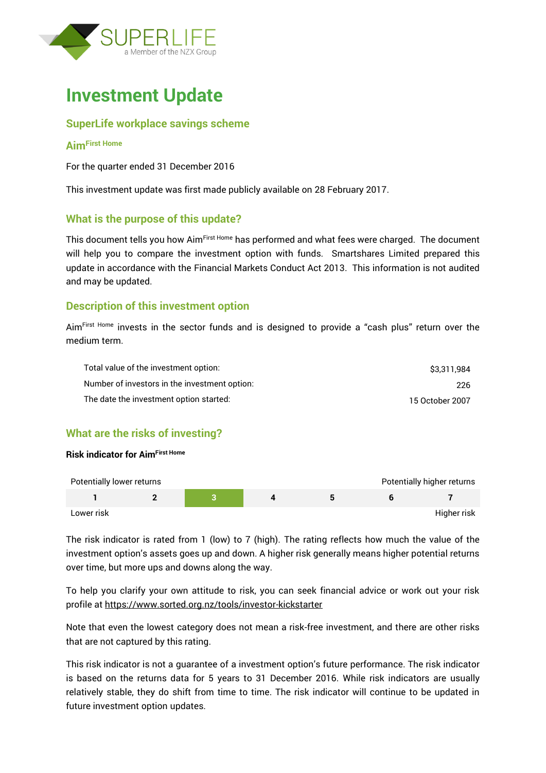



### **SuperLife workplace savings scheme**

#### **AimFirst Home**

For the quarter ended 31 December 2016

This investment update was first made publicly available on 28 February 2017.

### **What is the purpose of this update?**

This document tells you how Aim<sup>First Home</sup> has performed and what fees were charged. The document will help you to compare the investment option with funds. Smartshares Limited prepared this update in accordance with the Financial Markets Conduct Act 2013. This information is not audited and may be updated.

### **Description of this investment option**

Aim<sup>First Home</sup> invests in the sector funds and is designed to provide a "cash plus" return over the medium term.

| Total value of the investment option:         | \$3.311.984     |
|-----------------------------------------------|-----------------|
| Number of investors in the investment option: | 226             |
| The date the investment option started:       | 15 October 2007 |

## **What are the risks of investing?**

#### **Risk indicator for AimFirst Home**



The risk indicator is rated from 1 (low) to 7 (high). The rating reflects how much the value of the investment option's assets goes up and down. A higher risk generally means higher potential returns over time, but more ups and downs along the way.

To help you clarify your own attitude to risk, you can seek financial advice or work out your risk profile at<https://www.sorted.org.nz/tools/investor-kickstarter>

Note that even the lowest category does not mean a risk-free investment, and there are other risks that are not captured by this rating.

This risk indicator is not a guarantee of a investment option's future performance. The risk indicator is based on the returns data for 5 years to 31 December 2016. While risk indicators are usually relatively stable, they do shift from time to time. The risk indicator will continue to be updated in future investment option updates.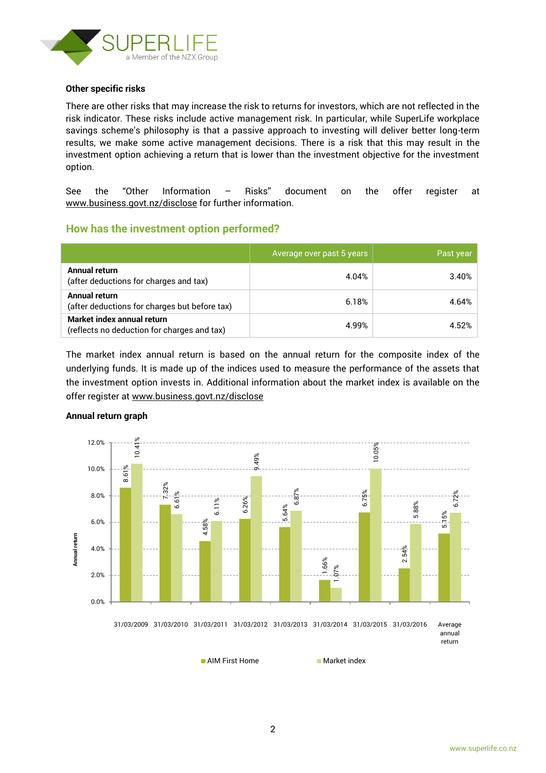

#### **Other specific risks**

There are other risks that may increase the risk to returns for investors, which are not reflected in the risk indicator. These risks include active management risk. In particular, while SuperLife workplace savings scheme's philosophy is that a passive approach to investing will deliver better long-term results, we make some active management decisions. There is a risk that this may result in the investment option achieving a return that is lower than the investment objective for the investment option.

See the "Other Information – Risks" document on the offer register at www.business.govt.nz/disclose for further information.

### **How has the investment option performed?**

|                                                                           | Average over past 5 years | Past year |
|---------------------------------------------------------------------------|---------------------------|-----------|
| Annual return<br>(after deductions for charges and tax)                   | 4.04%                     | 3.40%     |
| Annual return<br>(after deductions for charges but before tax)            | 6.18%                     | 4.64%     |
| Market index annual return<br>(reflects no deduction for charges and tax) | 4.99%                     | 4.52%     |

The market index annual return is based on the annual return for the composite index of the underlying funds. It is made up of the indices used to measure the performance of the assets that the investment option invests in. Additional information about the market index is available on the offer register at [www.business.govt.nz/disclose](http://www.business.govt.nz/disclose)



#### **Annual return graph**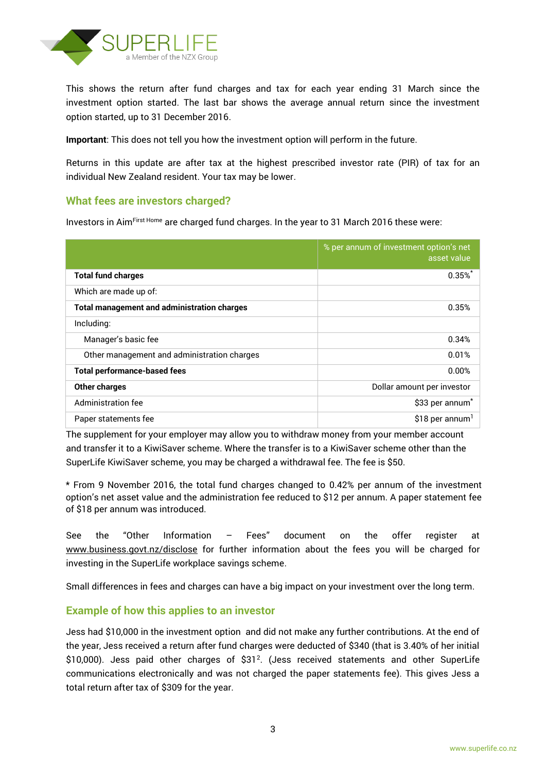

This shows the return after fund charges and tax for each year ending 31 March since the investment option started. The last bar shows the average annual return since the investment option started, up to 31 December 2016.

**Important**: This does not tell you how the investment option will perform in the future.

Returns in this update are after tax at the highest prescribed investor rate (PIR) of tax for an individual New Zealand resident. Your tax may be lower.

## **What fees are investors charged?**

Investors in AimFirst Home are charged fund charges. In the year to 31 March 2016 these were:

|                                                    | % per annum of investment option's net<br>asset value |
|----------------------------------------------------|-------------------------------------------------------|
| <b>Total fund charges</b>                          | $0.35\%$                                              |
| Which are made up of:                              |                                                       |
| <b>Total management and administration charges</b> | 0.35%                                                 |
| Including:                                         |                                                       |
| Manager's basic fee                                | 0.34%                                                 |
| Other management and administration charges        | 0.01%                                                 |
| <b>Total performance-based fees</b>                | 0.00%                                                 |
| <b>Other charges</b>                               | Dollar amount per investor                            |
| Administration fee                                 | \$33 per annum <sup>*</sup>                           |
| Paper statements fee                               | \$18 per annum <sup>1</sup>                           |

The supplement for your employer may allow you to withdraw money from your member account and transfer it to a KiwiSaver scheme. Where the transfer is to a KiwiSaver scheme other than the SuperLife KiwiSaver scheme, you may be charged a withdrawal fee. The fee is \$50.

\* From 9 November 2016, the total fund charges changed to 0.42% per annum of the investment option's net asset value and the administration fee reduced to \$12 per annum. A paper statement fee of \$18 per annum was introduced.

See the "Other Information – Fees" document on the offer register at www.business.govt.nz/disclose for further information about the fees you will be charged for investing in the SuperLife workplace savings scheme.

Small differences in fees and charges can have a big impact on your investment over the long term.

### **Example of how this applies to an investor**

Jess had \$10,000 in the investment option and did not make any further contributions. At the end of the year, Jess received a return after fund charges were deducted of \$340 (that is 3.40% of her initial  $$10,000$ ). Jess paid other charges of  $$31<sup>2</sup>$ . (Jess received statements and other SuperLife communications electronically and was not charged the paper statements fee). This gives Jess a total return after tax of \$309 for the year.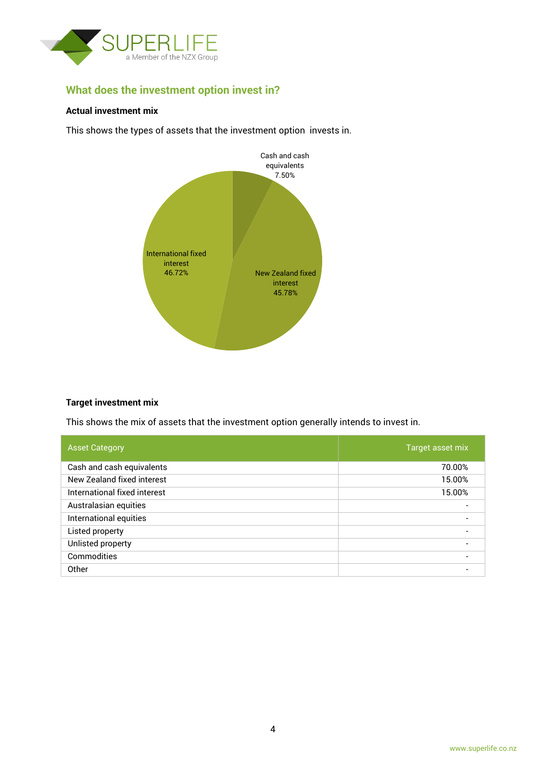

# **What does the investment option invest in?**

#### **Actual investment mix**

This shows the types of assets that the investment option invests in.



#### **Target investment mix**

This shows the mix of assets that the investment option generally intends to invest in.

| <b>Asset Category</b>        | Target asset mix         |
|------------------------------|--------------------------|
| Cash and cash equivalents    | 70.00%                   |
| New Zealand fixed interest   | 15.00%                   |
| International fixed interest | 15.00%                   |
| Australasian equities        |                          |
| International equities       | $\blacksquare$           |
| Listed property              |                          |
| Unlisted property            | $\overline{\phantom{0}}$ |
| Commodities                  |                          |
| Other                        |                          |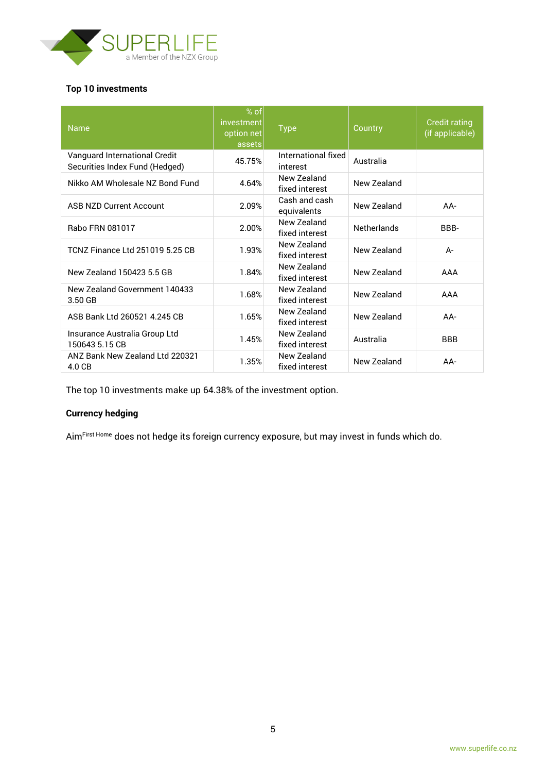

#### **Top 10 investments**

| <b>Name</b>                                                     | $%$ of<br>investment<br>option net<br>assets | <b>Type</b>                     | Country            | <b>Credit rating</b><br>(if applicable) |
|-----------------------------------------------------------------|----------------------------------------------|---------------------------------|--------------------|-----------------------------------------|
| Vanguard International Credit<br>Securities Index Fund (Hedged) | 45.75%                                       | International fixed<br>interest | Australia          |                                         |
| Nikko AM Wholesale NZ Bond Fund                                 | 4.64%                                        | New Zealand<br>fixed interest   | New Zealand        |                                         |
| <b>ASB NZD Current Account</b>                                  | 2.09%                                        | Cash and cash<br>equivalents    | New Zealand        | AA-                                     |
| Rabo FRN 081017                                                 | 2.00%                                        | New Zealand<br>fixed interest   | <b>Netherlands</b> | BBB-                                    |
| <b>TCNZ Finance Ltd 251019 5.25 CB</b>                          | 1.93%                                        | New Zealand<br>fixed interest   | New Zealand        | $A -$                                   |
| New Zealand 150423 5.5 GB                                       | 1.84%                                        | New Zealand<br>fixed interest   | New Zealand        | AAA                                     |
| New Zealand Government 140433<br>3.50 GB                        | 1.68%                                        | New Zealand<br>fixed interest   | New Zealand        | AAA                                     |
| ASB Bank Ltd 260521 4.245 CB                                    | 1.65%                                        | New Zealand<br>fixed interest   | New Zealand        | $AA-$                                   |
| Insurance Australia Group Ltd<br>150643 5.15 CB                 | 1.45%                                        | New Zealand<br>fixed interest   | Australia          | <b>BBB</b>                              |
| ANZ Bank New Zealand Ltd 220321<br>4.0 CB                       | 1.35%                                        | New Zealand<br>fixed interest   | New Zealand        | AA-                                     |

The top 10 investments make up 64.38% of the investment option.

## **Currency hedging**

Aim<sup>First Home</sup> does not hedge its foreign currency exposure, but may invest in funds which do.